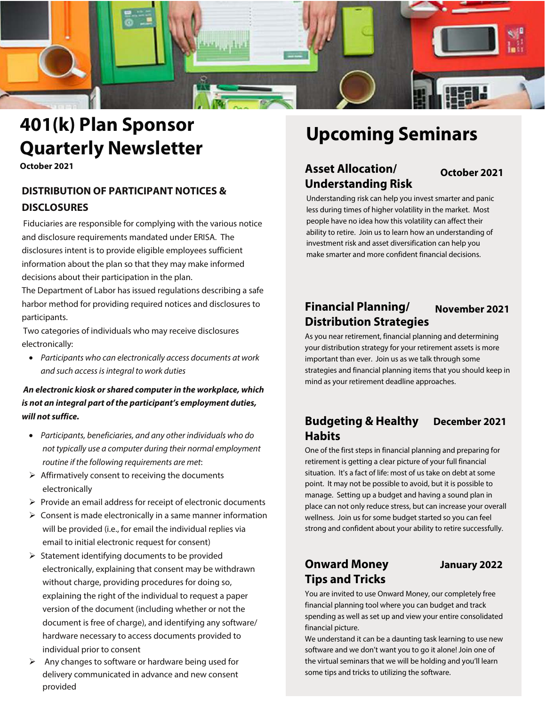

# **401(k) Plan Sponsor Quarterly Newsletter**

**October 2021**

# **DISTRIBUTION OF PARTICIPANT NOTICES & DISCLOSURES**

Fiduciaries are responsible for complying with the various notice and disclosure requirements mandated under ERISA. The disclosures intent is to provide eligible employees sufficient information about the plan so that they may make informed decisions about their participation in the plan.

The Department of Labor has issued regulations describing a safe harbor method for providing required notices and disclosures to participants.

Two categories of individuals who may receive disclosures electronically:

• Participants who can electronically access documents at work and such access is integral to work duties

**An electronic kiosk or shared computer in the workplace, which is not an integral part of the participant's employment duties, will not suffice.**

- Participants, beneficiaries, and any other individuals who do not typically use a computer during their normal employment routine if the following requirements are met:
- $\triangleright$  Affirmatively consent to receiving the documents electronically
- $\triangleright$  Provide an email address for receipt of electronic documents
- $\triangleright$  Consent is made electronically in a same manner information will be provided (i.e., for email the individual replies via email to initial electronic request for consent)
- $\triangleright$  Statement identifying documents to be provided electronically, explaining that consent may be withdrawn without charge, providing procedures for doing so, explaining the right of the individual to request a paper version of the document (including whether or not the document is free of charge), and identifying any software/ hardware necessary to access documents provided to individual prior to consent
- $\triangleright$  Any changes to software or hardware being used for delivery communicated in advance and new consent provided

# **Upcoming Seminars**

# **Asset Allocation/ October 2021 Understanding Risk**

Understanding risk can help you invest smarter and panic less during times of higher volatility in the market. Most people have no idea how this volatility can affect their ability to retire. Join us to learn how an understanding of investment risk and asset diversification can help you make smarter and more confident financial decisions.

### **Financial Planning/ Distribution Strategies November 2021**

As you near retirement, financial planning and determining your distribution strategy for your retirement assets is more important than ever. Join us as we talk through some strategies and financial planning items that you should keep in mind as your retirement deadline approaches.

# **Budgeting & Healthy December 2021 Habits**

One of the first steps in financial planning and preparing for retirement is getting a clear picture of your full financial situation. It's a fact of life: most of us take on debt at some point. It may not be possible to avoid, but it is possible to manage. Setting up a budget and having a sound plan in place can not only reduce stress, but can increase your overall wellness. Join us for some budget started so you can feel strong and confident about your ability to retire successfully.

# **Onward Money January 2022 Tips and Tricks**

You are invited to use Onward Money, our completely free financial planning tool where you can budget and track spending as well as set up and view your entire consolidated financial picture.

We understand it can be a daunting task learning to use new software and we don't want you to go it alone! Join one of the virtual seminars that we will be holding and you'll learn some tips and tricks to utilizing the software.